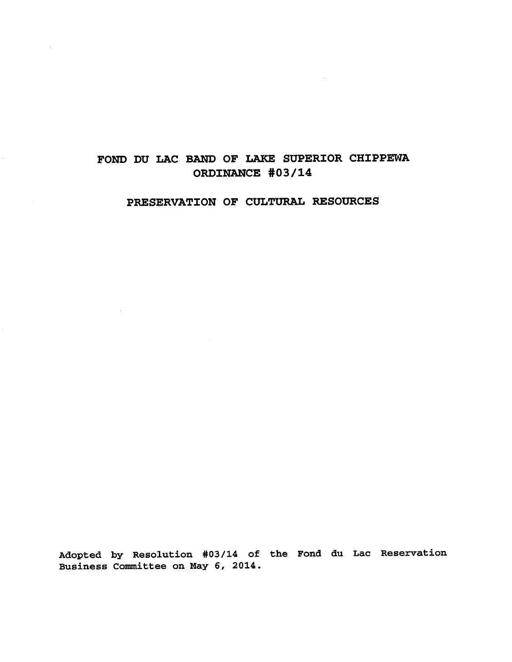## **FOND DU LAC BAND OF LAKE SUPERIOR CHIPPEWA ORDINANCE #03/14**

## **PRESERVATION OF CULTURAL RESOURCES**

 $\sim$   $\sim$ 

Adopted by Resolution #03/14 of the Fond du Lac Reservation Business Committee on May 6, 2014.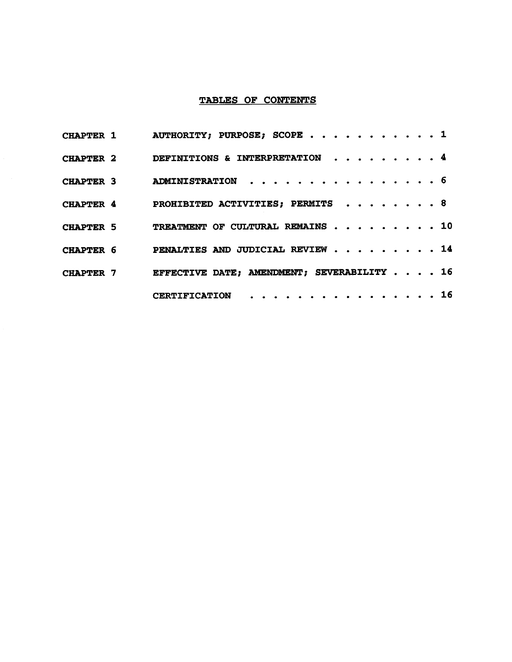## **TABLES OF CONTENTS**

|                  | CHAPTER $1$ AUTHORITY; PURPOSE; SCOPE $\ldots$ 1        |  |  |  |  |  |  |
|------------------|---------------------------------------------------------|--|--|--|--|--|--|
|                  | CHAPTER 2 DEFINITIONS & INTERPRETATION 4                |  |  |  |  |  |  |
|                  | CHAPTER 3 ADMINISTRATION 6                              |  |  |  |  |  |  |
|                  | CHAPTER 4 PROHIBITED ACTIVITIES; PERMITS 8              |  |  |  |  |  |  |
| <b>CHAPTER 5</b> | TREATMENT OF CULTURAL REMAINS 10                        |  |  |  |  |  |  |
| CHAPTER 6        | PENALTIES AND JUDICIAL REVIEW $\cdots \cdots \cdots 14$ |  |  |  |  |  |  |
|                  | CHAPTER 7 EFFECTIVE DATE; AMENDMENT; SEVERABILITY 16    |  |  |  |  |  |  |
|                  | CERTIFICATION 16                                        |  |  |  |  |  |  |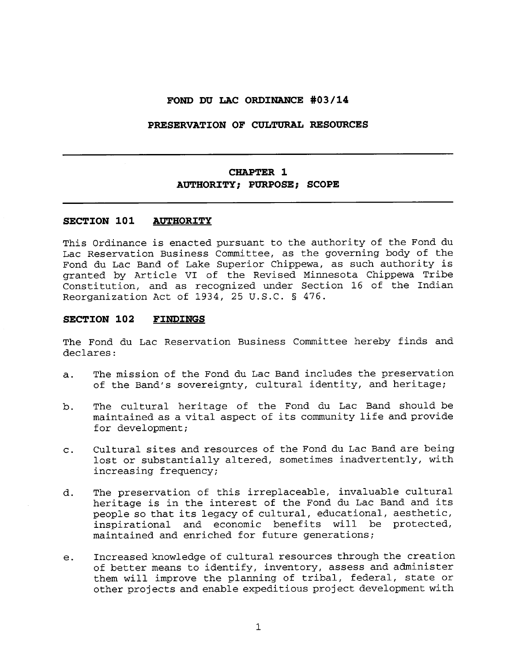### **FOND DU LAC ORDINANCE #03/14**

### **PRESERVATION OF CULTURAL RESOURCES**

## **CHAPTER 1 AUTHORITY; PURPOSE; SCOPE**

### **SECTION 101 AUTHORITY**

This Ordinance is enacted pursuant to the authority of the Fond du Lac Reservation Business Committee, as the governing body of the Fond du Lac Band of Lake Superior Chippewa, as such authority is granted by Article VI of the Revised Minnesota Chippewa Tribe Constitution, and as recognized under Section 16 of the Indian Reorganization Act of 1934, 25 U.S.C. § 476.

### **SECTION 102 FINDINGS**

The Fond du Lac Reservation Business Committee hereby finds and declares:

- a. The mission of the Fond du Lac Band includes the preservation of the Band's sovereignty, cultural identity, and heritage;
- b. The cultural heritage of the Fond du Lac Band should be maintained as a vital aspect of its community life and provide for development;
- c. Cultural sites and resources of the Fond du Lac Band are being lost or substantially altered, sometimes inadvertently, with increasing frequency;
- d. The preservation of this irreplaceable, invaluable cultural heritage is in the interest of the Fond du Lac Band and its people so that its legacy of cultural, educational, aesthetic, inspirational and economic benefits will be protected, maintained and enriched for future generations;
- e. Increased knowledge of cultural resources through the creation of better means to identify, inventory, assess and administer them will improve the planning of tribal, federal, state or other projects and enable expeditious project development with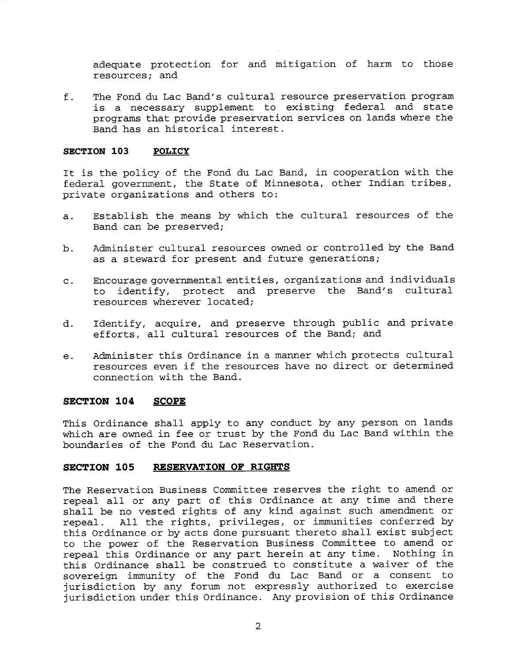adequate protection for and mitigation of harm to those resources; and

f. The Fond du Lac Band's cultural resource preservation program is a necessary supplement to existing federal and state programs that provide preservation services on lands where the Band has an historical interest.

### **SECTION 103 POLICY**

It is the policy of the Fond du Lac Band, in cooperation with the federal government, the State of Minnesota, other Indian tribes, private organizations and others to:

- a. Establish the means by which the cultural resources of the Band can be preserved;
- b. Administer cultural resources owned or controlled by the Band as a steward for present and future generations;
- c. Encourage governmental entities, organizations and individuals to identify, protect and preserve the Band's cultural resources wherever located;
- d. Identify, acquire, and preserve through public and private efforts, all cultural resources of the Band; and
- e. Administer this Ordinance in a manner which protects cultural resources even if the resources have no direct or determined connection with the Band.

### **SECTION 104 SCOPE**

This Ordinance shall apply to any conduct by any person on lands which are owned in fee or trust by the Fond du Lac Band within the boundaries of the Fond du Lac Reservation.

### **SECTION 105 RESERVATION OF RIGHTS**

The Reservation Business Committee reserves the right to amend or repeal all or any part of this Ordinance at any time and there shall be no vested rights of any kind against such amendment or repeal. All the rights, privileges, or immunities conferred by this Ordinance or by acts done pursuant thereto shall exist subject to the power of the Reservation Business Committee to amend or repeal this Ordinance or any part herein at any time. Nothing in this Ordinance shall be construed to constitute a waiver of the sovereign immunity of the Fond du Lac Band or a consent to jurisdiction by any forum not expressly authorized to exercise jurisdiction under this Ordinance. Any provision of this Ordinance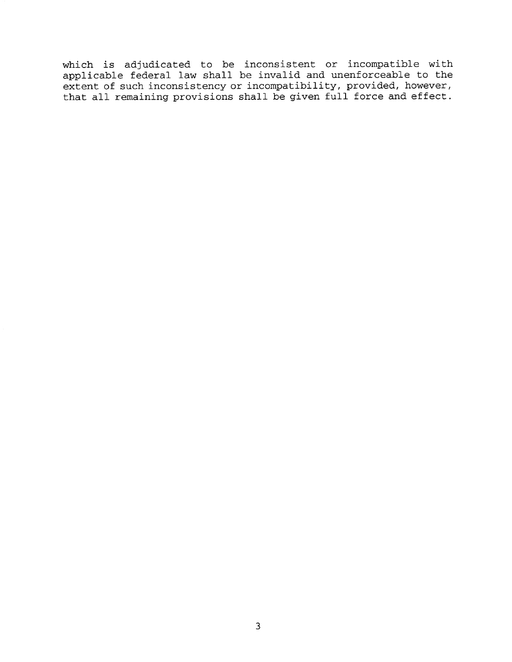which is adjudicated to be inconsistent or incompatible with applicable federal law shall be invalid and unenforceable to the extent of such inconsistency or incompatibility, provided, however, that all remaining provisions shall be given full force and effect.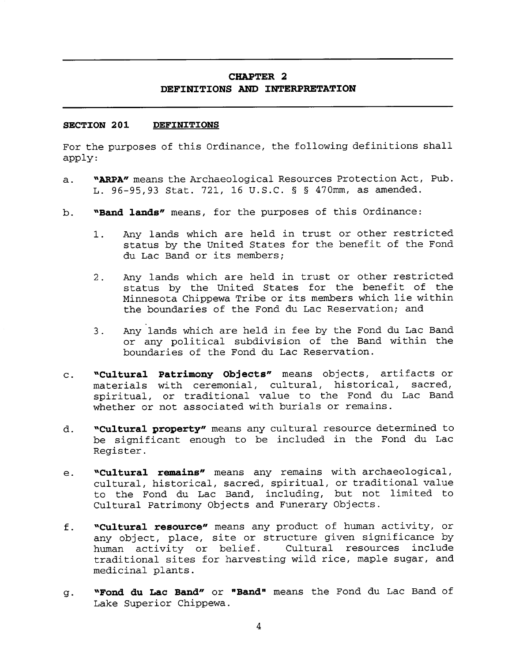## **CHAPTER 2 DEFINITIONS AND INTERPRETATION**

### **SECTION 201 DEFINITIONS**

For the purposes of this Ordinance, the following definitions shall apply:

- a. **"ARPA"** means the Archaeological Resources Protection Act, Pub. L. 96-95,93 Stat. 721, 16 U.S.C. § § 470mm, as amended.
- b. **"Band lands"** means, for the purposes of this Ordinance:
	- 1. Any lands which are held in trust or other restricted status by the United States for the benefit of the Fond du Lac Band or its members;
	- 2. Any lands which are held in trust or other restricted status by the United States for the benefit of the Minnesota Chippewa Tribe or its members which lie within the boundaries of the Fond du Lac Reservation; and
	- 3. Any lands which are held in fee by the Fond du Lac Band or any political subdivision of the Band within the boundaries of the Fond du Lac Reservation.
- c. **"Cultural Patrimony Objects"** means objects, artifacts or materials with ceremonial, cultural, historical, sacred, spiritual, or traditional value to the Fond du Lac Band whether or not associated with burials or remains.
- d. **"Cultural property"** means any cultural resource determined to be significant enough to be included in the Fond du Lac Register.
- e. **"Cultural remains"** means any remains with archaeological, cultural, historical, sacred, spiritual, or traditional value to the Fond du Lac Band, including, but not limited to Cultural Patrimony Objects and Funerary Objects.
- f. **"Cultural resource"** means any product of human activity, or any object, place, site or structure given significance by human activity or belief. Cultural resources include traditional sites for harvesting wild rice, maple sugar, and medicinal plants.
- **"Fond du Lac Band"** or **"Band"** means the Fond du Lac Band of g. Lake Superior Chippewa.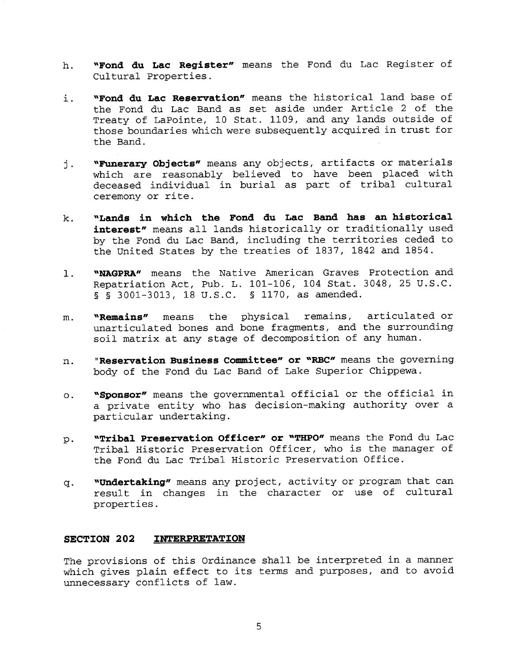- **h. "Fond du Lac Register"** means the Fond du Lac Register of Cultural Properties.
- **i. "Fond du Lac Reservation"** means the historical land base of the Fond du Lac Band as set aside under Article 2 of the Treaty of LaPointe, 10 Stat. 1109, and any lands outside of those boundaries which were subsequently acquired in trust for the Band.
- **"Funerary Objects"** means any objects, artifacts or materials j. which are reasonably believed to have been placed with deceased individual in burial as part of tribal cultural ceremony or rite.
- **k. "Lands in which the Fond du Lac Band has an historical interest"** means all lands historically or traditionally used by the Fond du Lac Band, including the territories ceded to the United States by the treaties of 1837, 1842 and 1854.
- 1. **"NAGPRA"** means the Native American Graves Protection and Repatriation Act, Pub. L. 101-106, 104 Stat. 3048, 25 U.S.C. § § 3001-3013, 18 U.S.C. § 1170, as amended.
- **m. "Remains"** means the physical remains, articulated or unarticulated bones and bone fragments, and the surrounding soil matrix at any stage of decomposition of any human.
- **n. " Reservation Business Committee" or "RBC"** means the governing body of the Fond du Lac Band of Lake Superior Chippewa.
- **o. "Sponsor"** means the governmental official or the official in a private entity who has decision-making authority over a particular undertaking.
- **p. "Tribal Preservation Officer" or "THPO"** means the Fond du Lac Tribal Historic Preservation Officer, who is the manager of the Fond du Lac Tribal Historic Preservation Office.
- **q. "Undertaking"** means any project, activity or program that can result in changes in the character or use of cultural properties.

### **SECTION 202 INTERPRETATION**

The provisions of this Ordinance shall be interpreted in a manner which gives plain effect to its terms and purposes, and to avoid unnecessary conflicts of law.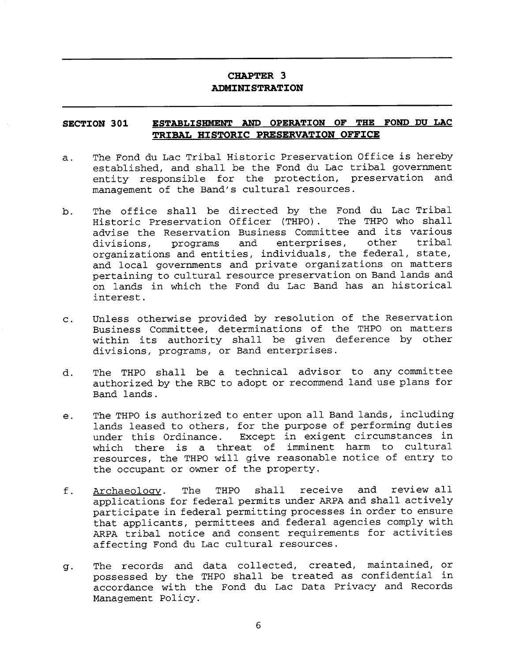## **CHAPTER 3 ADMINISTRATION**

## **SECTION 301 TRIBAL HISTORIC PRESERVATION OFFICE**

- **CHAPTER 3<br>
ADMINISTRATION<br>
ESTABLISHMENT AND OPERATION OF THE FOND DU LAC<br>
TRIBAL HISTORIC PRESERVATION OFFICE**<br>
And du Lac Tribal Historic Preservation Office is hereby<br>
ished, and shall be the Fond du Lac tribal governm a. The Fond du Lac Tribal Historic Preservation Office is hereby established, and shall be the Fond du Lac tribal government entity responsible for the protection, preservation and management of the Band's cultural resources.
- b. The office shall be directed by the Fond du Lac Tribal Historic Preservation Officer (THPO). advise the Reservation Business Committee and its various<br>divisions, programs and enterprises, other tribal divisions, programs and enterprises, other organizations and entities, individuals, the federal, state, and local governments and private organizations on matters pertaining to cultural resource preservation on Band lands and on lands in which the Fond du Lac Band has an historical interest.
- c. Unless otherwise provided by resolution of the Reservation Business Committee, determinations of the THPO on matters within its authority shall be given deference by other divisions, programs, or Band enterprises.
- d. The THPO shall be a technical advisor to any committee authorized by the RBC to adopt or recommend land use plans for Band lands.
- e. The THPO is authorized to enter upon all Band lands, including lands leased to others, for the purpose of performing duties under this Ordinance. Except in exigent circumstances in which there is a threat of imminent harm to cultural resources, the THPO will give reasonable notice of entry to the occupant or owner of the property.
- f. Archaeology. The THPO shall receive and review all applications for federal permits under ARPA and shall actively participate in federal permitting processes in order to ensure that applicants, permittees and federal agencies comply with ARPA tribal notice and consent requirements for activities affecting Fond du Lac cultural resources.
- The records and data collected, created, maintained, or g. possessed by the THPO shall be treated as confidential in accordance with the Fond du Lac Data Privacy and Records Management Policy.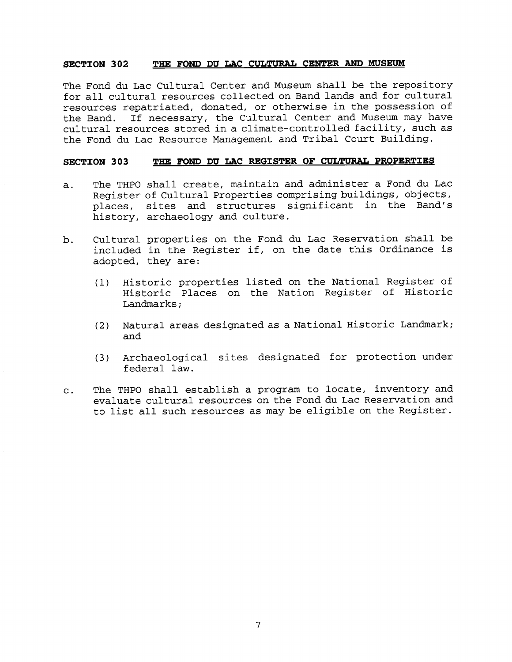### **SECTION 302 THE FOND DU LAC CULTURAL CENTER AND MUSEUM**

The Fond du Lac Cultural Center and Museum shall be the repository for all cultural resources collected on Band lands and for cultural resources repatriated, donated, or otherwise in the possession of the Band. If necessary, the Cultural Center and Museum may have cultural resources stored in a climate-controlled facility, such as the Fond du Lac Resource Management and Tribal Court Building.

### **SECTION 303 THE FOND DU LAC REGISTER OF CULTURAL PROPERTIES**

- a. The THPO shall create, maintain and administer a Fond du Lac Register of Cultural Properties comprising buildings, objects, places, sites and structures significant in the Band's history, archaeology and culture.
- b. Cultural properties on the Fond du Lac Reservation shall be included in the Register if, on the date this Ordinance is adopted, they are:
	- (1) Historic properties listed on the National Register of Historic Places on the Nation Register of Historic Landmarks;
	- (2) Natural areas designated as a National Historic Landmark; and
	- (3) Archaeological sites designated for protection under federal law.
- c. The THPO shall establish a program to locate, inventory and evaluate cultural resources on the Fond du Lac Reservation and to list all such resources as may be eligible on the Register.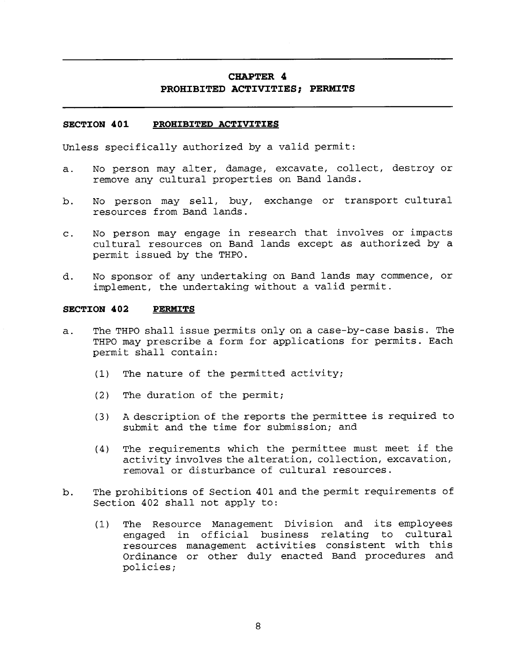## **CHAPTER 4 PROHIBITED ACTIVITIES; PERMITS**

### **SECTION 401 PROHIBITED ACTIVITIES**

Unless specifically authorized by a valid permit:

- a. No person may alter, damage, excavate, collect, destroy or remove any cultural properties on Band lands.
- b. No person may sell, buy, exchange or transport cultural resources from Band lands.
- c. No person may engage in research that involves or impacts cultural resources on Band lands except as authorized by a permit issued by the THPO.
- d. No sponsor of any undertaking on Band lands may commence, or implement, the undertaking without a valid permit.

### **SECTION 402 PERMITS**

- a. The THPO shall issue permits only on a case-by-case basis. The THPO may prescribe a form for applications for permits. Each permit shall contain:
	- (1) The nature of the permitted activity;
	- (2) The duration of the permit;
	- (3) A description of the reports the permittee is required to submit and the time for submission; and
	- (4) The requirements which the permittee must meet if the activity involves the alteration, collection, excavation, removal or disturbance of cultural resources.
- b. The prohibitions of Section 401 and the permit requirements of Section 402 shall not apply to:
	- (1) The Resource Management Division and its employees engaged in official business relating to cultural resources management activities consistent with this Ordinance or other duly enacted Band procedures and policies;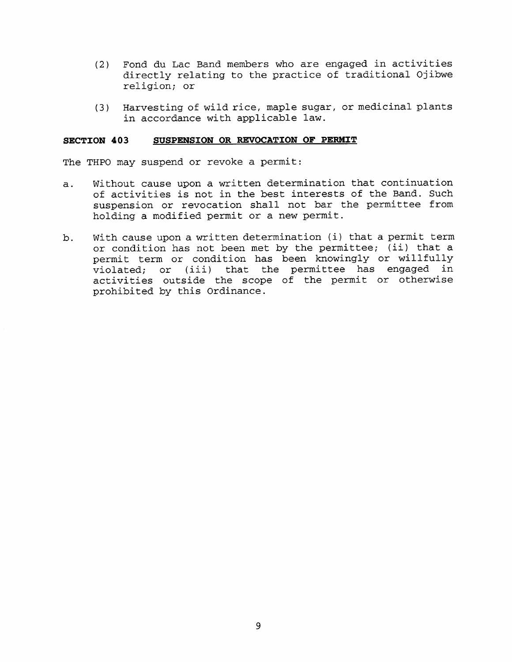- (2) Fond du Lac Band members who are engaged in activities directly relating to the practice of traditional Ojibwe religion; or
- (3) Harvesting of wild rice, maple sugar, or medicinal plants in accordance with applicable law.

### **SECTION 403 SUSPENSION OR REVOCATION OF PERMIT**

The THPO may suspend or revoke a permit:

- a. Without cause upon a written determination that continuation of activities is not in the best interests of the Band. Such suspension or revocation shall not bar the permittee from holding a modified permit or a new permit.
- b. With cause upon a written determination (i) that a permit term or condition has not been met by the permittee; (ii) that a permit term or condition has been knowingly or willfully violated; or (iii) that the permittee has engaged in activities outside the scope of the permit or otherwise prohibited by this Ordinance.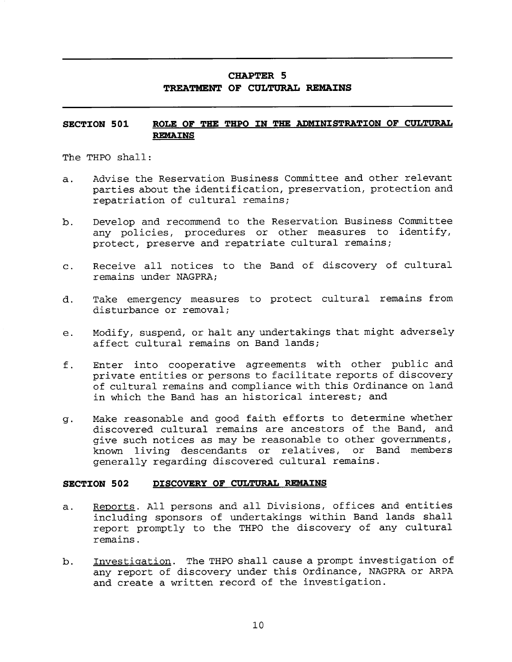## **CHAPTER 5 TREATMENT OF CULTURAL REMAINS**

# **SECTION 501 CHAPTER 5<br>
TREATMENT OF CULTURAL REMAINS<br>
ROLE OF THE THPO IN THE ADMINISTRATION OF CULTURAL<br>
REMAINS**<br>
all:<br>
the Reservation Business Committee and other relevant **REMAINS**

The THPO shall:

- a. Advise the Reservation Business Committee and other relevant parties about the identification, preservation, protection and repatriation of cultural remains;
- b. Develop and recommend to the Reservation Business Committee any policies, procedures or other measures to identify, protect, preserve and repatriate cultural remains;
- c. Receive all notices to the Band of discovery of cultural remains under NAGPRA;
- d. Take emergency measures to protect cultural remains from disturbance or removal;
- e. Modify, suspend, or halt any undertakings that might adversely affect cultural remains on Band lands;
- f. Enter into cooperative agreements with other public and private entities or persons to facilitate reports of discovery of cultural remains and compliance with this Ordinance on land in which the Band has an historical interest; and
- g. Make reasonable and good faith efforts to determine whether discovered cultural remains are ancestors of the Band, and give such notices as may be reasonable to other governments, known living descendants or relatives, or Band members generally regarding discovered cultural remains.

## **SECTION 502 DISCOVERY OF CULTURAL REMAINS**

- a. Reports. All persons and all Divisions, offices and entities including sponsors of undertakings within Band lands shall report promptly to the THPO the discovery of any cultural remains.
- b. Investigation. The THPO shall cause a prompt investigation of any report of discovery under this Ordinance, NAGPRA or ARPA and create a written record of the investigation.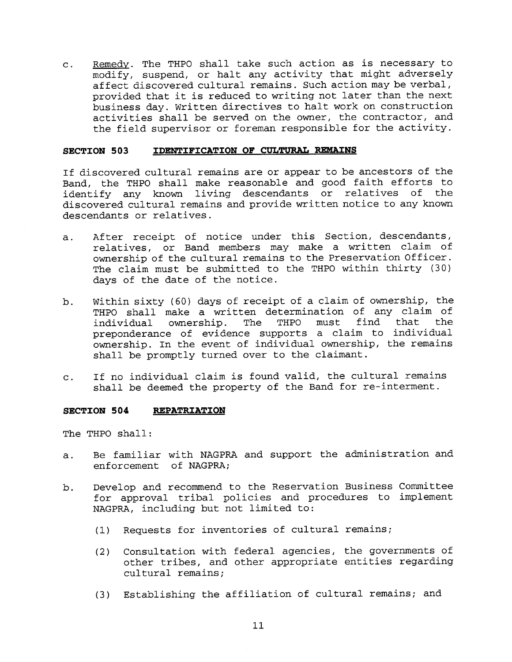c. Remedy. The THPO shall take such action as is necessary to modify, suspend, or halt any activity that might adversely affect discovered cultural remains. Such action may be verbal, provided that it is reduced to writing not later than the next business day. Written directives to halt work on construction activities shall be served on the owner, the contractor, and the field supervisor or foreman responsible for the activity.

### **SECTION 503 IDENTIFICATION OF CULTURAL REMAINS**

If discovered cultural remains are or appear to be ancestors of the Band, the THPO shall make reasonable and good faith efforts to identify any known living descendants or relatives of the discovered cultural remains and provide written notice to any known descendants or relatives.

- a. After receipt of notice under this Section, descendants, relatives, or Band members may make a written claim of ownership of the cultural remains to the Preservation Officer. The claim must be submitted to the THPO within thirty (30) days of the date of the notice.
- b. Within sixty (60) days of receipt of a claim of ownership, the THPO shall make a written determination of any claim of<br>individual ownership. The THPO must find that the individual ownership. The THPO must find that the preponderance of evidence supports a claim to individual ownership. In the event of individual ownership, the remains shall be promptly turned over to the claimant.
- c. If no individual claim is found valid, the cultural remains shall be deemed the property of the Band for re-interment.

### **SECTION 504 REPATRIATION**

The THPO shall:

- a. Be familiar with NAGPRA and support the administration and enforcement of NAGPRA;
- b. Develop and recommend to the Reservation Business Committee for approval tribal policies and procedures to implement NAGPRA, including but not limited to:
	- (1) Requests for inventories of cultural remains;
	- (2) Consultation with federal agencies, the governments of other tribes, and other appropriate entities regarding cultural remains;
	- (3) Establishing the affiliation of cultural remains; and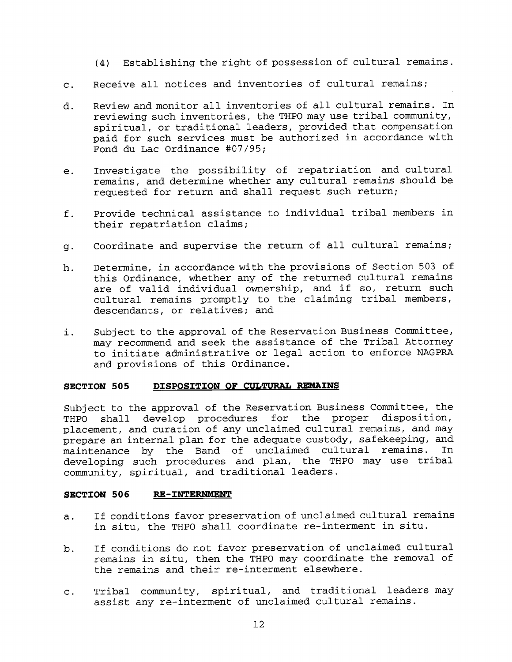- (4) Establishing the right of possession of cultural remains.
- c. Receive all notices and inventories of cultural remains;
- d. Review and monitor all inventories of all cultural remains. In reviewing such inventories, the THPO may use tribal community, spiritual, or traditional leaders, provided that compensation paid for such services must be authorized in accordance with Fond du Lac Ordinance #07/95;
- e. Investigate the possibility of repatriation and cultural remains, and determine whether any cultural remains should be requested for return and shall request such return;
- f. Provide technical assistance to individual tribal members in their repatriation claims;
- g. Coordinate and supervise the return of all cultural remains;
- h. Determine, in accordance with the provisions of Section 503 of this Ordinance, whether any of the returned cultural remains are of valid individual ownership, and if so, return such cultural remains promptly to the claiming tribal members, descendants, or relatives; and
- i. Subject to the approval of the Reservation Business Committee, may recommend and seek the assistance of the Tribal Attorney to initiate administrative or legal action to enforce NAGPRA and provisions of this Ordinance.

### **SECTION 505 DISPOSITION OF CULTURAL REMAINS**

Subject to the approval of the Reservation Business Committee, the THPO shall develop procedures for the proper disposition, placement, and curation of any unclaimed cultural remains, and may prepare an internal plan for the adequate custody, safekeeping, and<br>maintenance, by the Band of unclaimed cultural remains. In maintenance by the Band of unclaimed cultural remains. developing such procedures and plan, the THPO may use tribal community, spiritual, and traditional leaders.

### **SECTION 506 RE-INTERNMENT**

- a. If conditions favor preservation of unclaimed cultural remains in situ, the THPO shall coordinate re-interment in situ.
- b. If conditions do not favor preservation of unclaimed cultural remains in situ, then the THPO may coordinate the removal of the remains and their re-interment elsewhere.
- c. Tribal community, spiritual, and traditional leaders may assist any re-interment of unclaimed cultural remains.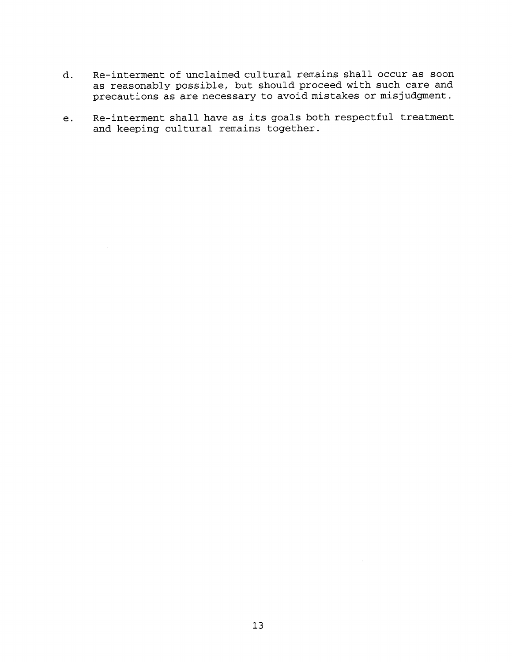- d. Re-interment of unclaimed cultural remains shall occur as soon as reasonably possible, but should proceed with such care and precautions as are necessary to avoid mistakes or misjudgment.
- e. Re-interment shall have as its goals both respectful treatment and keeping cultural remains together.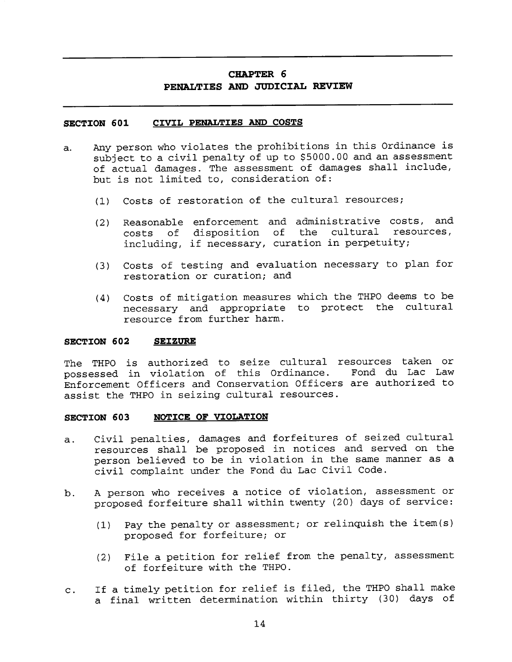## **CHAPTER 6 PENALTIES AND JUDICIAL REVIEW**

### **SECTION 601 CIVIL PENALTIES AND COSTS**

- a. Any person who violates the prohibitions in this Ordinance is subject to a civil penalty of up to \$5000.00 and an assessment of actual damages. The assessment of damages shall include, but is not limited to, consideration of:
	- (1) Costs of restoration of the cultural resources;
	- (2) Reasonable enforcement and administrative costs, and costs of disposition of the cultural resources, including, if necessary, curation in perpetuity;
	- (3) Costs of testing and evaluation necessary to plan for restoration or curation; and
	- (4) Costs of mitigation measures which the THPO deems to be necessary and appropriate to protect the cultural resource from further harm.

### **SECTION 602 SEIZURE**

The THPO is authorized to seize cultural resources taken or<br>possessed in violation of this Ordinance. Fond du Lac Law possessed in violation of this Ordinance. Enforcement Officers and Conservation Officers are authorized to assist the THPO in seizing cultural resources. **ECTION 602 SEIZURE**<br>
THE THE THE THE STATE OF STATE OF THE STATE OF CHANGE THE CHANGE THE OF STATE AND SET AND SET AND SET AND SET A PHO IN SETTION SO STATE OF VIOLATION<br>
CONTICE OF VIOLATION<br>
CONTICE OF VIOLATION<br>
CONTIC

### **SECTION 603 NOTICE OF VIOLATION**

- a. Civil penalties, damages and forfeitures of seized cultural resources shall be proposed in notices and served on the person believed to be in violation in the same manner as a civil complaint under the Fond du Lac Civil Code. Civil penalties, damages and forfeitures of seized cultural<br>
resources shall be proposed in notices and served on the<br>
person believed to be in violation in the same manner as a<br>
civil complaint under the Fond du Lac Civil
- b. proposed forfeiture shall within twenty (20) days of service:
	- (1) Pay the penalty or assessment; or relinquish the item(s) proposed for forfeiture; or
	- (2) File a petition for relief from the penalty, assessment of forfeiture with the THPO.
- c. a final written determination within thirty (30) days of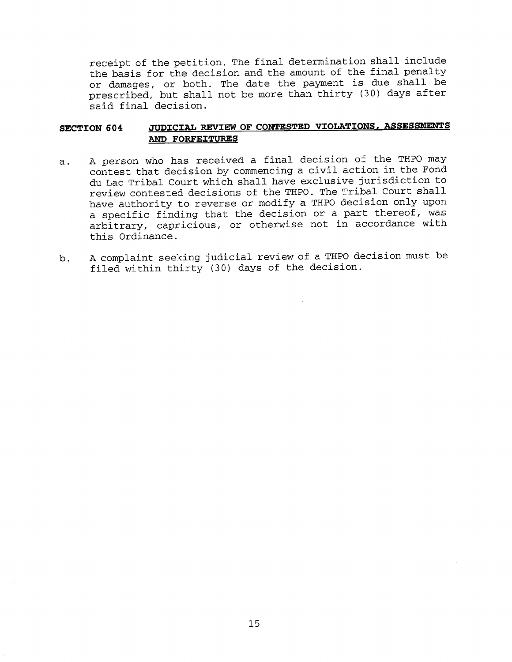receipt of the petition. The final determination shall include the basis for the decision and the amount of the final penalty or damages, or both. The date the payment is due shall be prescribed, but shall not be more than thirty (30) days after said final decision.

## **SECTION 604 JUDICIAL REVIEW OF CONTESTED VIOLATIONS, ASSESSMENTS AND FORFEITURES**

- a. A person who has received a final decision of the THPO may contest that decision by commencing a civil action in the Fond du Lac Tribal Court which shall have exclusive jurisdiction to review contested decisions of the THPO. The Tribal Court shall have authority to reverse or modify a THPO decision only upon a specific finding that the decision or a part thereof, was arbitrary, capricious, or otherwise not in accordance with this Ordinance.
- b. A complaint seeking judicial review of a THPO decision must be filed within thirty (30) days of the decision.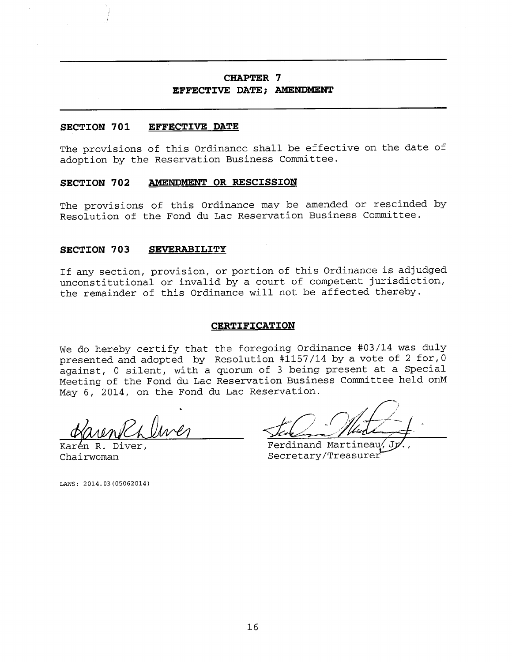## **CHAPTER 7 EFFECTIVE DATE; AMENDMENT**

### **SECTION 701 EFFECTIVE DATE**

The provisions of this Ordinance shall be effective on the date of adoption by the Reservation Business Committee.

### **SECTION 702 AMENDMENT OR RESCISSION**

The provisions of this Ordinance may be amended or rescinded by Resolution of the Fond du Lac Reservation Business Committee.

### **SECTION 703 SEVERABILITY**

If any section, provision, or portion of this Ordinance is adjudged unconstitutional or invalid by a court of competent jurisdiction, the remainder of this Ordinance will not be affected thereby.

#### **CERTIFICATION**

We do hereby certify that the foregoing Ordinance #03/14 was duly presented and adopted by Resolution #1157/14 by a vote of 2 for,0 against, 0 silent, with a quorum of 3 being present at a Special Meeting of the Fond du Lac Reservation Business Committee held onM May 6, 2014, on the Fond du Lac Reservation.

Karén R. Diver, Emerand Martineau, Indonésia Karén Chairwoman Secretary/Treasurer

LAWS: 2014.03(05062014)